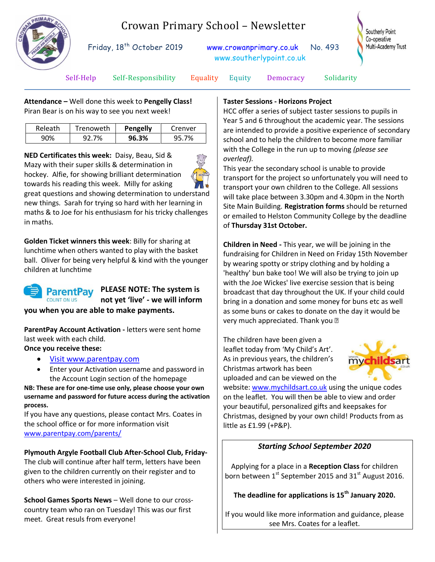

# Crowan Primary School – Newsletter

Friday, 18<sup>th</sup> October 2019

[www.crowanprimary.co.uk](http://www.crowanprimary.co.uk/) No. 493 www.southerlypoint.co.uk



Self-Help Self-Responsibility Equality Equity Democracy Solidarity

**Attendance –** Well done this week to **Pengelly Class!** Piran Bear is on his way to see you next week!

| Releath | Trenoweth | <b>Pengelly</b> | Crenver |
|---------|-----------|-----------------|---------|
|         | 7%        | 96.3%           |         |

**NED Certificates this week:** Daisy, Beau, Sid & Mazy with their super skills & determination in hockey. Alfie, for showing brilliant determination towards his reading this week. Milly for asking great questions and showing determination to understand new things. Sarah for trying so hard with her learning in maths & to Joe for his enthusiasm for his tricky challenges in maths.

**Golden Ticket winners this week**: Billy for sharing at lunchtime when others wanted to play with the basket ball. Oliver for being very helpful & kind with the younger children at lunchtime



#### **PLEASE NOTE: The system is not yet 'live' - we will inform you when you are able to make payments.**

**ParentPay Account Activation -** letters were sent home last week with each child.

**Once you receive these:**

- Visit www.parentpay.com
- Enter your Activation username and password in the Account Login section of the homepage

**NB: These are for one-time use only, please choose your own username and password for future access during the activation process.**

If you have any questions, please contact Mrs. Coates in the school office or for more information visit [www.parentpay.com/parents/](http://www.parentpay.com/parents/)

## **Plymouth Argyle Football Club After-School Club, Friday-**

The club will continue after half term, letters have been given to the children currently on their register and to others who were interested in joining.

**School Games Sports News** – Well done to our crosscountry team who ran on Tuesday! This was our first meet. Great resuls from everyone!

#### **Taster Sessions - Horizons Project**

HCC offer a series of subject taster sessions to pupils in Year 5 and 6 throughout the academic year. The sessions are intended to provide a positive experience of secondary school and to help the children to become more familiar with the College in the run up to moving *(please see overleaf).*

This year the secondary school is unable to provide transport for the project so unfortunately you will need to transport your own children to the College. All sessions will take place between 3.30pm and 4.30pm in the North Site Main Building. **Registration forms** should be returned or emailed to Helston Community College by the deadline of **Thursday 31st October.**

**Children in Need -** This year, we will be joining in the fundraising for Children in Need on Friday 15th November by wearing spotty or stripy clothing and by holding a 'healthy' bun bake too! We will also be trying to join up with the Joe Wickes' live exercise session that is being broadcast that day throughout the UK. If your child could bring in a donation and some money for buns etc as well as some buns or cakes to donate on the day it would be very much appreciated. Thank you

The children have been given a leaflet today from 'My Child's Art'. As in previous years, the children's Christmas artwork has been uploaded and can be viewed on the



website: [www.mychildsart.co.uk](http://www.mychildsart.co.uk/) using the unique codes on the leaflet. You will then be able to view and order your beautiful, personalized gifts and keepsakes for Christmas, designed by your own child! Products from as little as £1.99 (+P&P).

## *Starting School September 2020*

Applying for a place in a **Reception Class** for children born between  $1^{st}$  September 2015 and 31 $^{st}$  August 2016.

**The deadline for applications is 15th January 2020.**

If you would like more information and guidance, please see Mrs. Coates for a leaflet.